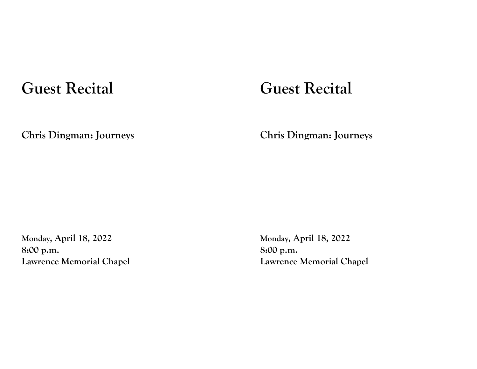## **Guest Recital**

## **Chris Dingman: Journeys**

**Monday, April 18, 2022 8:00 p.m. Lawrence Memorial Chapel**